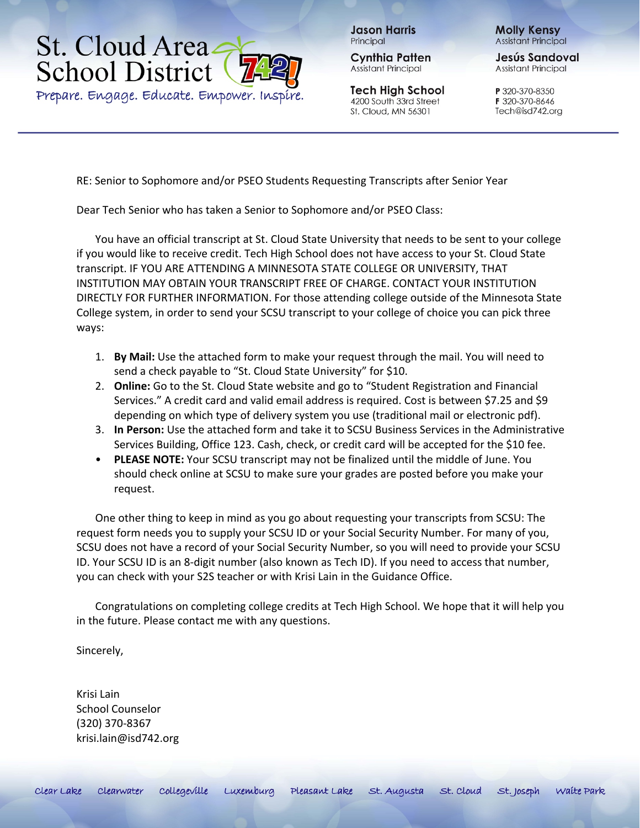## St. Cloud Area. **School District**

Prepare. Engage. Educate. Empower. Inspire.

**Jason Harris** Principal

**Cynthia Patten** Assistant Principal

**Tech High School** 4200 South 33rd Street St. Cloud, MN 56301

**Molly Kensy Assistant Principal** 

Jesús Sandoval **Assistant Principal** 

P 320-370-8350 F 320-370-8646 Tech@isd742.org

RE: Senior to Sophomore and/or PSEO Students Requesting Transcripts after Senior Year

Dear Tech Senior who has taken a Senior to Sophomore and/or PSEO Class:

You have an official transcript at St. Cloud State University that needs to be sent to your college if you would like to receive credit. Tech High School does not have access to your St. Cloud State transcript. IF YOU ARE ATTENDING A MINNESOTA STATE COLLEGE OR UNIVERSITY, THAT INSTITUTION MAY OBTAIN YOUR TRANSCRIPT FREE OF CHARGE. CONTACT YOUR INSTITUTION DIRECTLY FOR FURTHER INFORMATION. For those attending college outside of the Minnesota State College system, in order to send your SCSU transcript to your college of choice you can pick three ways:

- 1. **By Mail:** Use the attached form to make your request through the mail. You will need to send a check payable to "St. Cloud State University" for \$10.
- 2. **Online:** Go to the St. Cloud State website and go to "Student Registration and Financial Services." A credit card and valid email address is required. Cost is between \$7.25 and \$9 depending on which type of delivery system you use (traditional mail or electronic pdf).
- 3. **In Person:** Use the attached form and take it to SCSU Business Services in the Administrative Services Building, Office 123. Cash, check, or credit card will be accepted for the \$10 fee.
- **PLEASE NOTE:** Your SCSU transcript may not be finalized until the middle of June. You should check online at SCSU to make sure your grades are posted before you make your request.

One other thing to keep in mind as you go about requesting your transcripts from SCSU: The request form needs you to supply your SCSU ID or your Social Security Number. For many of you, SCSU does not have a record of your Social Security Number, so you will need to provide your SCSU ID. Your SCSU ID is an 8-digit number (also known as Tech ID). If you need to access that number, you can check with your S2S teacher or with Krisi Lain in the Guidance Office.

Congratulations on completing college credits at Tech High School. We hope that it will help you in the future. Please contact me with any questions.

Sincerely,

Krisi Lain School Counselor (320) 370-8367 krisi.lain@isd742.org